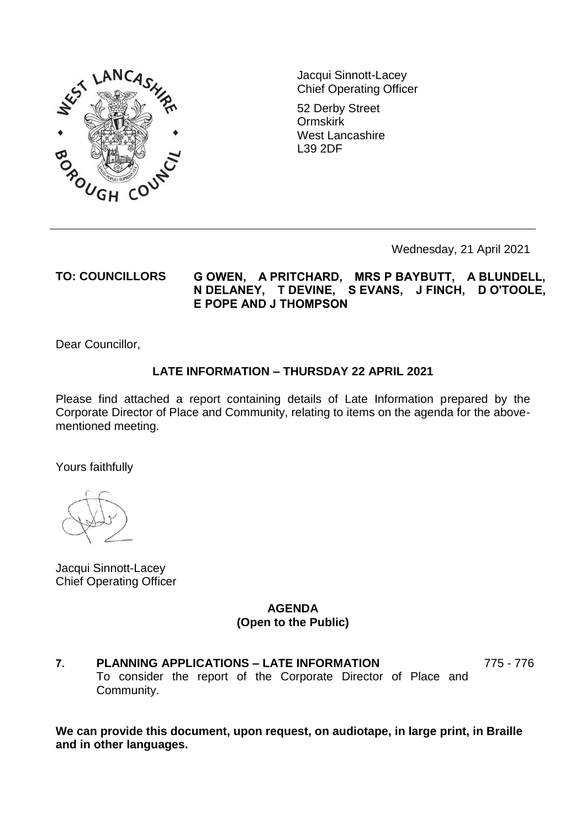

Jacqui Sinnott-Lacey Chief Operating Officer

52 Derby Street Ormskirk West Lancashire L39 2DF

Wednesday, 21 April 2021

#### **TO: COUNCILLORS G OWEN, A PRITCHARD, MRS P BAYBUTT, A BLUNDELL, N DELANEY, T DEVINE, S EVANS, J FINCH, D O'TOOLE, E POPE AND J THOMPSON**

Dear Councillor,

## **LATE INFORMATION – THURSDAY 22 APRIL 2021**

Please find attached a report containing details of Late Information prepared by the Corporate Director of Place and Community, relating to items on the agenda for the abovementioned meeting.

Yours faithfully

Jacqui Sinnott-Lacey Chief Operating Officer

## **AGENDA (Open to the Public)**

**7. PLANNING APPLICATIONS – LATE INFORMATION** To consider the report of the Corporate Director of Place and Community. 775 - 776

**We can provide this document, upon request, on audiotape, in large print, in Braille and in other languages.**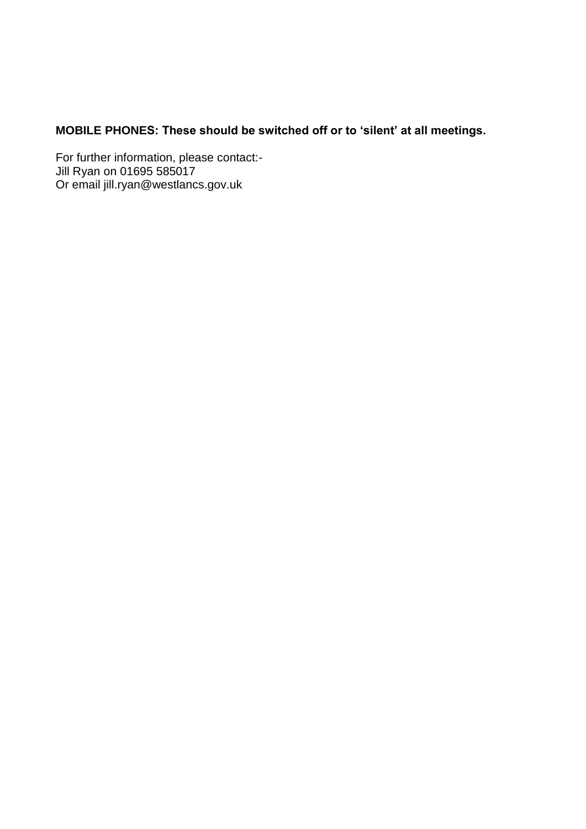# **MOBILE PHONES: These should be switched off or to 'silent' at all meetings.**

For further information, please contact:- Jill Ryan on 01695 585017 Or email jill.ryan@westlancs.gov.uk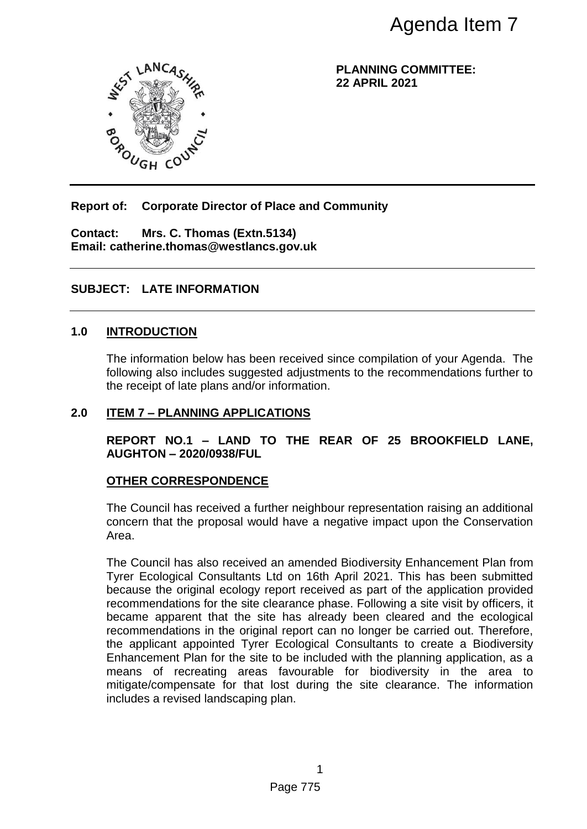

**PLANNING COMMITTEE: 22 APRIL 2021**

## **Report of: Corporate Director of Place and Community**

**Contact: Mrs. C. Thomas (Extn.5134) Email: catherine.thomas@westlancs.gov.uk**

## **SUBJECT: LATE INFORMATION**

#### **1.0 INTRODUCTION**

The information below has been received since compilation of your Agenda. The following also includes suggested adjustments to the recommendations further to the receipt of late plans and/or information.

#### **2.0 ITEM 7 – PLANNING APPLICATIONS**

#### **REPORT NO.1 – LAND TO THE REAR OF 25 BROOKFIELD LANE, AUGHTON – 2020/0938/FUL**

#### **OTHER CORRESPONDENCE**

The Council has received a further neighbour representation raising an additional concern that the proposal would have a negative impact upon the Conservation Area.

The Council has also received an amended Biodiversity Enhancement Plan from Tyrer Ecological Consultants Ltd on 16th April 2021. This has been submitted because the original ecology report received as part of the application provided recommendations for the site clearance phase. Following a site visit by officers, it became apparent that the site has already been cleared and the ecological recommendations in the original report can no longer be carried out. Therefore, the applicant appointed Tyrer Ecological Consultants to create a Biodiversity Enhancement Plan for the site to be included with the planning application, as a means of recreating areas favourable for biodiversity in the area to mitigate/compensate for that lost during the site clearance. The information includes a revised landscaping plan. Agenda Item 7<br>
PLANNING COMMITTEE:<br>
22 APRIL 2021<br>
Place and Community<br>
Place and Community<br>
Place and Community<br>
Place and Community<br>
Place and Community<br>
Place and Community<br>
Place and Community<br>
Place and Community<br>
Inf